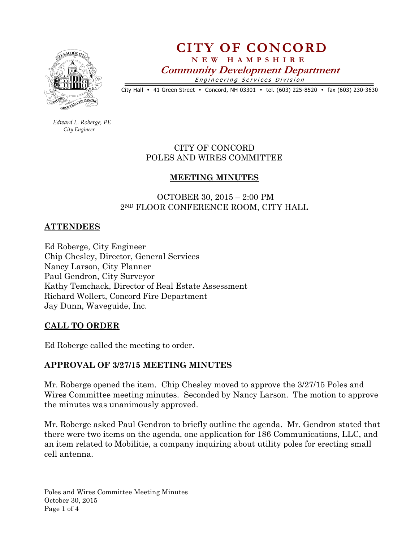

# CITY OF CONCORD N E W H A M P S H I R E Community Development Department Engineering Services Division

City Hall • 41 Green Street • Concord, NH 03301 • tel. (603) 225-8520 • fax (603) 230-3630

 Edward L. Roberge, PE City Engineer

## CITY OF CONCORD POLES AND WIRES COMMITTEE

#### MEETING MINUTES

### OCTOBER 30, 2015 – 2:00 PM 2ND FLOOR CONFERENCE ROOM, CITY HALL

#### ATTENDEES

Ed Roberge, City Engineer Chip Chesley, Director, General Services Nancy Larson, City Planner Paul Gendron, City Surveyor Kathy Temchack, Director of Real Estate Assessment Richard Wollert, Concord Fire Department Jay Dunn, Waveguide, Inc.

#### CALL TO ORDER

Ed Roberge called the meeting to order.

#### APPROVAL OF 3/27/15 MEETING MINUTES

Mr. Roberge opened the item. Chip Chesley moved to approve the 3/27/15 Poles and Wires Committee meeting minutes. Seconded by Nancy Larson. The motion to approve the minutes was unanimously approved.

Mr. Roberge asked Paul Gendron to briefly outline the agenda. Mr. Gendron stated that there were two items on the agenda, one application for 186 Communications, LLC, and an item related to Mobilitie, a company inquiring about utility poles for erecting small cell antenna.

Poles and Wires Committee Meeting Minutes October 30, 2015 Page 1 of 4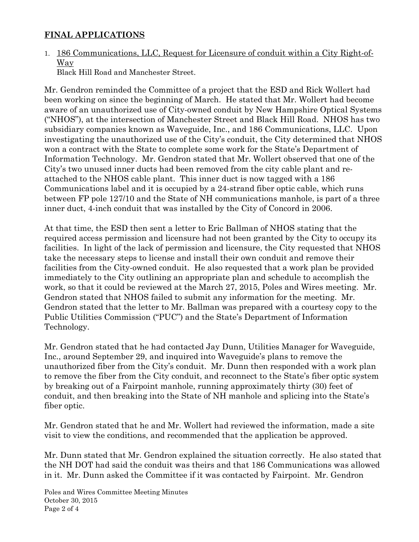## FINAL APPLICATIONS

# 1. 186 Communications, LLC, Request for Licensure of conduit within a City Right-of-Way

Black Hill Road and Manchester Street.

Mr. Gendron reminded the Committee of a project that the ESD and Rick Wollert had been working on since the beginning of March. He stated that Mr. Wollert had become aware of an unauthorized use of City-owned conduit by New Hampshire Optical Systems ("NHOS"), at the intersection of Manchester Street and Black Hill Road. NHOS has two subsidiary companies known as Waveguide, Inc., and 186 Communications, LLC. Upon investigating the unauthorized use of the City's conduit, the City determined that NHOS won a contract with the State to complete some work for the State's Department of Information Technology. Mr. Gendron stated that Mr. Wollert observed that one of the City's two unused inner ducts had been removed from the city cable plant and reattached to the NHOS cable plant. This inner duct is now tagged with a 186 Communications label and it is occupied by a 24-strand fiber optic cable, which runs between FP pole 127/10 and the State of NH communications manhole, is part of a three inner duct, 4-inch conduit that was installed by the City of Concord in 2006.

At that time, the ESD then sent a letter to Eric Ballman of NHOS stating that the required access permission and licensure had not been granted by the City to occupy its facilities. In light of the lack of permission and licensure, the City requested that NHOS take the necessary steps to license and install their own conduit and remove their facilities from the City-owned conduit. He also requested that a work plan be provided immediately to the City outlining an appropriate plan and schedule to accomplish the work, so that it could be reviewed at the March 27, 2015, Poles and Wires meeting. Mr. Gendron stated that NHOS failed to submit any information for the meeting. Mr. Gendron stated that the letter to Mr. Ballman was prepared with a courtesy copy to the Public Utilities Commission ("PUC") and the State's Department of Information Technology.

Mr. Gendron stated that he had contacted Jay Dunn, Utilities Manager for Waveguide, Inc., around September 29, and inquired into Waveguide's plans to remove the unauthorized fiber from the City's conduit. Mr. Dunn then responded with a work plan to remove the fiber from the City conduit, and reconnect to the State's fiber optic system by breaking out of a Fairpoint manhole, running approximately thirty (30) feet of conduit, and then breaking into the State of NH manhole and splicing into the State's fiber optic.

Mr. Gendron stated that he and Mr. Wollert had reviewed the information, made a site visit to view the conditions, and recommended that the application be approved.

Mr. Dunn stated that Mr. Gendron explained the situation correctly. He also stated that the NH DOT had said the conduit was theirs and that 186 Communications was allowed in it. Mr. Dunn asked the Committee if it was contacted by Fairpoint. Mr. Gendron

Poles and Wires Committee Meeting Minutes October 30, 2015 Page 2 of 4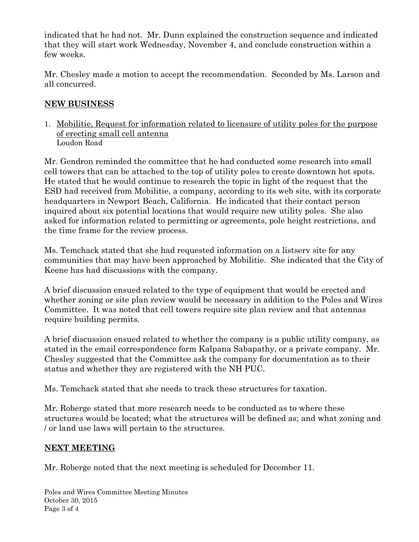indicated that he had not. Mr. Dunn explained the construction sequence and indicated that they will start work Wednesday, November 4, and conclude construction within a few weeks.

Mr. Chesley made a motion to accept the recommendation. Seconded by Ms. Larson and all concurred.

# NEW BUSINESS

1. Mobilitie, Request for information related to licensure of utility poles for the purpose of erecting small cell antenna Loudon Road

Mr. Gendron reminded the committee that he had conducted some research into small cell towers that can be attached to the top of utility poles to create downtown hot spots. He stated that he would continue to research the topic in light of the request that the ESD had received from Mobilitie, a company, according to its web site, with its corporate headquarters in Newport Beach, California. He indicated that their contact person inquired about six potential locations that would require new utility poles. She also asked for information related to permitting or agreements, pole height restrictions, and the time frame for the review process.

Ms. Temchack stated that she had requested information on a listserv site for any communities that may have been approached by Mobilitie. She indicated that the City of Keene has had discussions with the company.

A brief discussion ensued related to the type of equipment that would be erected and whether zoning or site plan review would be necessary in addition to the Poles and Wires Committee. It was noted that cell towers require site plan review and that antennas require building permits.

A brief discussion ensued related to whether the company is a public utility company, as stated in the email correspondence form Kalpana Sabapathy, or a private company. Mr. Chesley suggested that the Committee ask the company for documentation as to their status and whether they are registered with the NH PUC.

Ms. Temchack stated that she needs to track these structures for taxation.

Mr. Roberge stated that more research needs to be conducted as to where these structures would be located; what the structures will be defined as; and what zoning and / or land use laws will pertain to the structures.

# NEXT MEETING

Mr. Roberge noted that the next meeting is scheduled for December 11.

Poles and Wires Committee Meeting Minutes October 30, 2015 Page 3 of 4